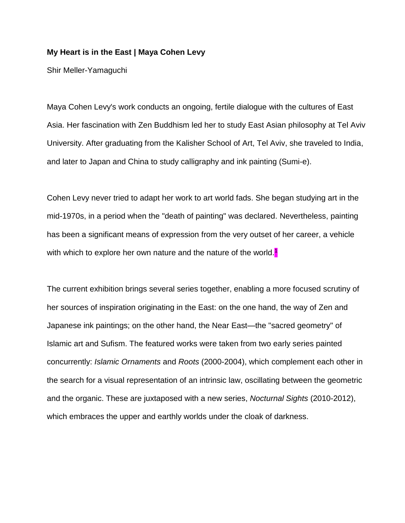## **My Heart is in the East | Maya Cohen Levy**

Shir Meller-Yamaguchi

Maya Cohen Levy's work conducts an ongoing, fertile dialogue with the cultures of East Asia. Her fascination with Zen Buddhism led her to study East Asian philosophy at Tel Aviv University. After graduating from the Kalisher School of Art, Tel Aviv, she traveled to India, and later to Japan and China to study calligraphy and ink painting (Sumi-e).

Cohen Levy never tried to adapt her work to art world fads. She began studying art in the mid-1970s, in a period when the "death of painting" was declared. Nevertheless, painting has been a significant means of expression from the very outset of her career, a vehicle with which to explore her own nature and the nature of the world.<sup>1</sup>

The current exhibition brings several series together, enabling a more focused scrutiny of her sources of inspiration originating in the East: on the one hand, the way of Zen and Japanese ink paintings; on the other hand, the Near East—the "sacred geometry" of Islamic art and Sufism. The featured works were taken from two early series painted concurrently: *Islamic Ornaments* and *Roots* (2000-2004), which complement each other in the search for a visual representation of an intrinsic law, oscillating between the geometric and the organic. These are juxtaposed with a new series, *Nocturnal Sights* (2010-2012), which embraces the upper and earthly worlds under the cloak of darkness.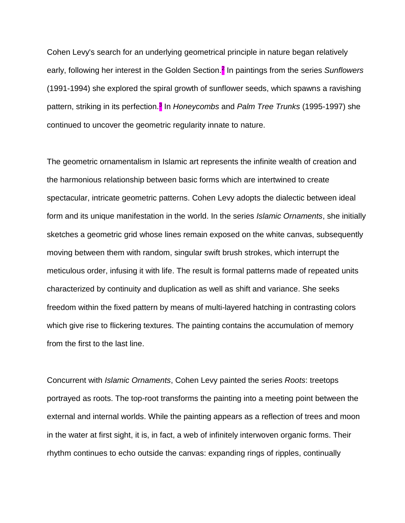Cohen Levy's search for an underlying geometrical principle in nature began relatively early, following her interest in the Golden Section. 2 In paintings from the series *Sunflowers* (1991-1994) she explored the spiral growth of sunflower seeds, which spawns a ravishing pattern, striking in its perfection.<sup>3</sup> In *Honeycombs* and *Palm Tree Trunks* (1995-1997) she continued to uncover the geometric regularity innate to nature.

The geometric ornamentalism in Islamic art represents the infinite wealth of creation and the harmonious relationship between basic forms which are intertwined to create spectacular, intricate geometric patterns. Cohen Levy adopts the dialectic between ideal form and its unique manifestation in the world. In the series *Islamic Ornaments*, she initially sketches a geometric grid whose lines remain exposed on the white canvas, subsequently moving between them with random, singular swift brush strokes, which interrupt the meticulous order, infusing it with life. The result is formal patterns made of repeated units characterized by continuity and duplication as well as shift and variance. She seeks freedom within the fixed pattern by means of multi-layered hatching in contrasting colors which give rise to flickering textures. The painting contains the accumulation of memory from the first to the last line.

Concurrent with *Islamic Ornaments*, Cohen Levy painted the series *Roots*: treetops portrayed as roots. The top-root transforms the painting into a meeting point between the external and internal worlds. While the painting appears as a reflection of trees and moon in the water at first sight, it is, in fact, a web of infinitely interwoven organic forms. Their rhythm continues to echo outside the canvas: expanding rings of ripples, continually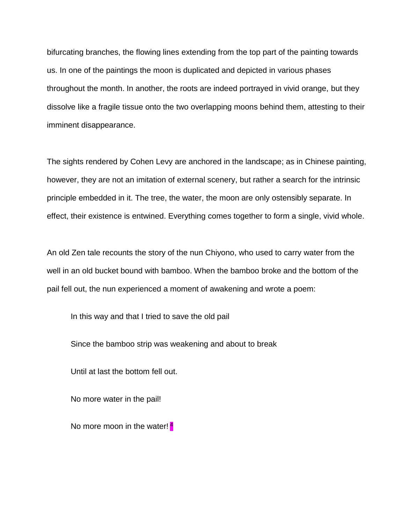bifurcating branches, the flowing lines extending from the top part of the painting towards us. In one of the paintings the moon is duplicated and depicted in various phases throughout the month. In another, the roots are indeed portrayed in vivid orange, but they dissolve like a fragile tissue onto the two overlapping moons behind them, attesting to their imminent disappearance.

The sights rendered by Cohen Levy are anchored in the landscape; as in Chinese painting, however, they are not an imitation of external scenery, but rather a search for the intrinsic principle embedded in it. The tree, the water, the moon are only ostensibly separate. In effect, their existence is entwined. Everything comes together to form a single, vivid whole.

An old Zen tale recounts the story of the nun Chiyono, who used to carry water from the well in an old bucket bound with bamboo. When the bamboo broke and the bottom of the pail fell out, the nun experienced a moment of awakening and wrote a poem:

In this way and that I tried to save the old pail

Since the bamboo strip was weakening and about to break

Until at last the bottom fell out.

No more water in the pail!

No more moon in the water! 4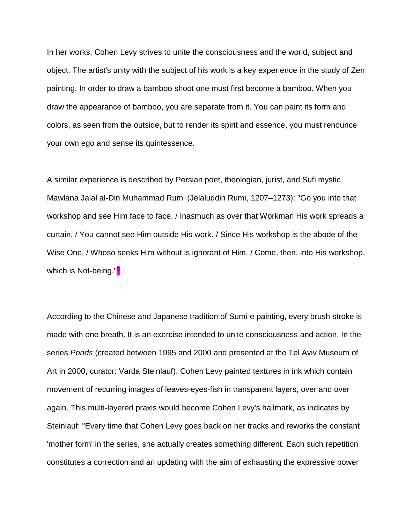In her works, Cohen Levy strives to unite the consciousness and the world, subject and object. The artist's unity with the subject of his work is a key experience in the study of Zen painting. In order to draw a bamboo shoot one must first become a bamboo. When you draw the appearance of bamboo, you are separate from it. You can paint its form and colors, as seen from the outside, but to render its spirit and essence, you must renounce your own ego and sense its quintessence.

A similar experience is described by Persian poet, theologian, jurist, and Sufi mystic Mawlana Jalal al-Din Muhammad Rumi (Jelaluddin Rumi, 1207–1273): "Go you into that workshop and see Him face to face. / Inasmuch as over that Workman His work spreads a curtain, / You cannot see Him outside His work. / Since His workshop is the abode of the Wise One, / Whoso seeks Him without is ignorant of Him. / Come, then, into His workshop, which is Not-being."<sup>5</sup>

According to the Chinese and Japanese tradition of Sumi-e painting, every brush stroke is made with one breath. It is an exercise intended to unite consciousness and action. In the series *Ponds* (created between 1995 and 2000 and presented at the Tel Aviv Museum of Art in 2000; curator: Varda Steinlauf), Cohen Levy painted textures in ink which contain movement of recurring images of leaves-eyes-fish in transparent layers, over and over again. This multi-layered praxis would become Cohen Levy's hallmark, as indicates by Steinlauf: "Every time that Cohen Levy goes back on her tracks and reworks the constant 'mother form' in the series, she actually creates something different. Each such repetition constitutes a correction and an updating with the aim of exhausting the expressive power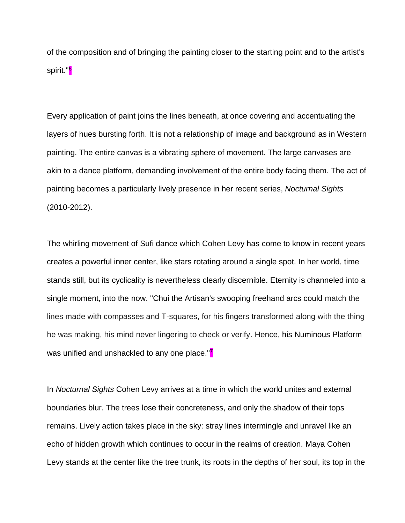of the composition and of bringing the painting closer to the starting point and to the artist's spirit."<mark>6</mark>

Every application of paint joins the lines beneath, at once covering and accentuating the layers of hues bursting forth. It is not a relationship of image and background as in Western painting. The entire canvas is a vibrating sphere of movement. The large canvases are akin to a dance platform, demanding involvement of the entire body facing them. The act of painting becomes a particularly lively presence in her recent series, *Nocturnal Sights* (2010-2012).

The whirling movement of Sufi dance which Cohen Levy has come to know in recent years creates a powerful inner center, like stars rotating around a single spot. In her world, time stands still, but its cyclicality is nevertheless clearly discernible. Eternity is channeled into a single moment, into the now. "Chui the Artisan's swooping freehand arcs could match the lines made with compasses and T-squares, for his fingers transformed along with the thing he was making, his mind never lingering to check or verify. Hence, his Numinous Platform was unified and unshackled to any one place."<sup>7</sup>

In *Nocturnal Sights* Cohen Levy arrives at a time in which the world unites and external boundaries blur. The trees lose their concreteness, and only the shadow of their tops remains. Lively action takes place in the sky: stray lines intermingle and unravel like an echo of hidden growth which continues to occur in the realms of creation. Maya Cohen Levy stands at the center like the tree trunk, its roots in the depths of her soul, its top in the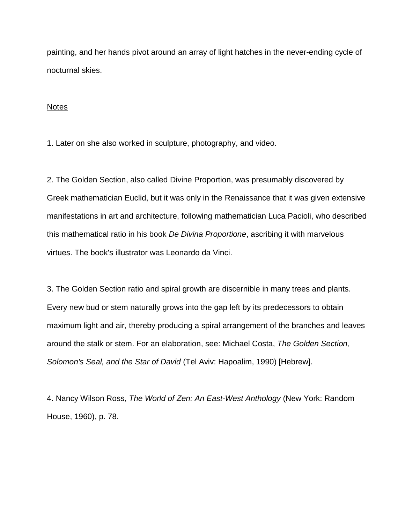painting, and her hands pivot around an array of light hatches in the never-ending cycle of nocturnal skies.

## **Notes**

1. Later on she also worked in sculpture, photography, and video.

2. The Golden Section, also called Divine Proportion, was presumably discovered by Greek mathematician Euclid, but it was only in the Renaissance that it was given extensive manifestations in art and architecture, following mathematician Luca Pacioli, who described this mathematical ratio in his book *De Divina Proportione*, ascribing it with marvelous virtues. The book's illustrator was Leonardo da Vinci.

3. The Golden Section ratio and spiral growth are discernible in many trees and plants. Every new bud or stem naturally grows into the gap left by its predecessors to obtain maximum light and air, thereby producing a spiral arrangement of the branches and leaves around the stalk or stem. For an elaboration, see: Michael Costa, *The Golden Section, Solomon's Seal, and the Star of David* (Tel Aviv: Hapoalim, 1990) [Hebrew].

4. Nancy Wilson Ross, *The World of Zen: An East-West Anthology* (New York: Random House, 1960), p. 78.